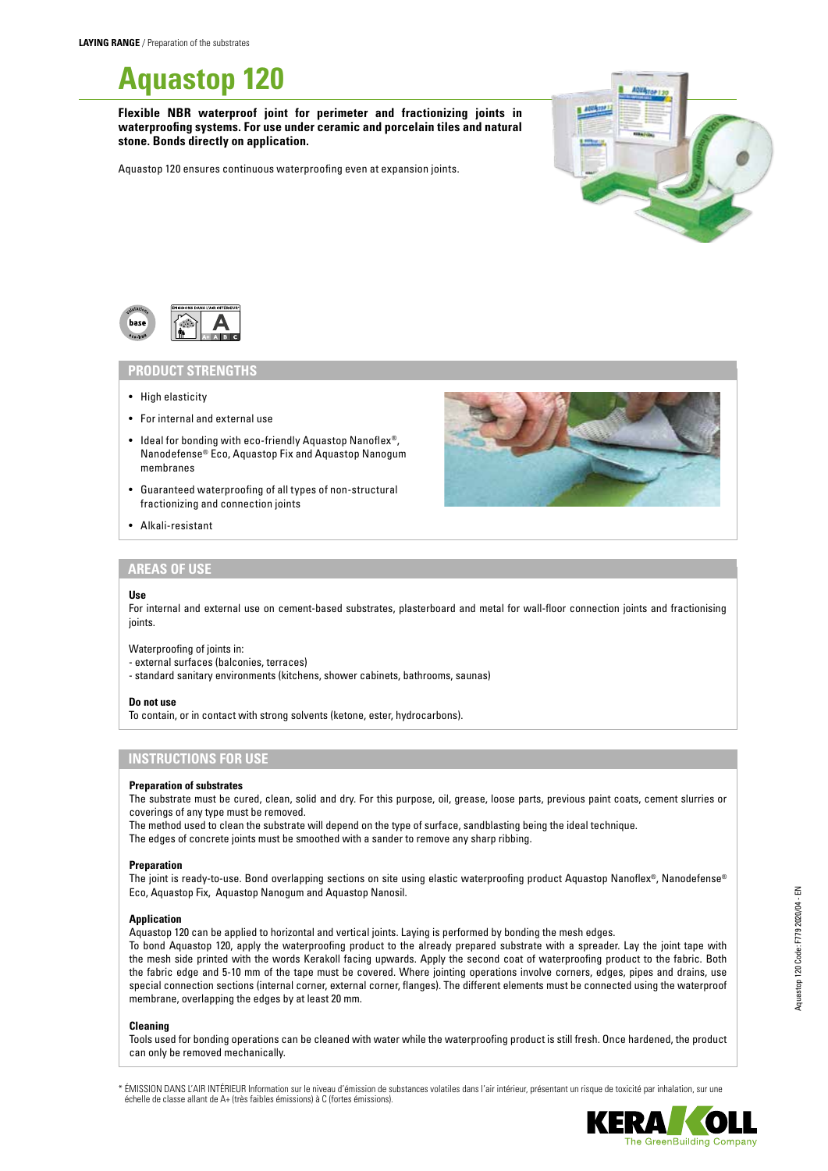

**Flexible NBR waterproof joint for perimeter and fractionizing joints in waterproofing systems. For use under ceramic and porcelain tiles and natural stone. Bonds directly on application.**

Aquastop 120 ensures continuous waterproofing even at expansion joints.





### **PRODUCT STRENGTHS**

- High elasticity
- For internal and external use
- Ideal for bonding with eco-friendly Aquastop Nanoflex®, Nanodefense® Eco, Aquastop Fix and Aquastop Nanogum membranes
- Guaranteed waterproofing of all types of non-structural fractionizing and connection joints
- Alkali-resistant



## **AREAS OF USE**

#### **Use**

For internal and external use on cement-based substrates, plasterboard and metal for wall-floor connection joints and fractionising inints

Waterproofing of joints in:

- external surfaces (balconies, terraces)
- standard sanitary environments (kitchens, shower cabinets, bathrooms, saunas)

#### **Do not use**

To contain, or in contact with strong solvents (ketone, ester, hydrocarbons).

## **INSTRUCTIONS FOR USE**

### **Preparation of substrates**

The substrate must be cured, clean, solid and dry. For this purpose, oil, grease, loose parts, previous paint coats, cement slurries or coverings of any type must be removed.

The method used to clean the substrate will depend on the type of surface, sandblasting being the ideal technique.

The edges of concrete joints must be smoothed with a sander to remove any sharp ribbing.

#### **Preparation**

The joint is ready-to-use. Bond overlapping sections on site using elastic waterproofing product Aquastop Nanoflex®, Nanodefense® Eco, Aquastop Fix, Aquastop Nanogum and Aquastop Nanosil.

### **Application**

Aquastop 120 can be applied to horizontal and vertical joints. Laying is performed by bonding the mesh edges.

To bond Aquastop 120, apply the waterproofing product to the already prepared substrate with a spreader. Lay the joint tape with the mesh side printed with the words Kerakoll facing upwards. Apply the second coat of waterproofing product to the fabric. Both the fabric edge and 5-10 mm of the tape must be covered. Where jointing operations involve corners, edges, pipes and drains, use special connection sections (internal corner, external corner, flanges). The different elements must be connected using the waterproof membrane, overlapping the edges by at least 20 mm.

### **Cleaning**

Tools used for bonding operations can be cleaned with water while the waterproofing product is still fresh. Once hardened, the product can only be removed mechanically.

\* ÉMISSION DANS L'AIR INTÉRIEUR Information sur le niveau d'émission de substances volatiles dans l'air intérieur, présentant un risque de toxicité par inhalation, sur une échelle de classe allant de A+ (très faibles émissions) à C (fortes émissions).